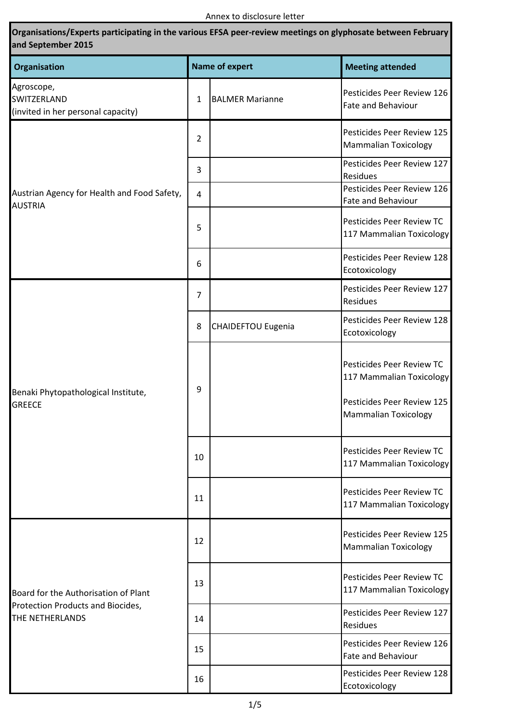| Organisations/Experts participating in the various EFSA peer-review meetings on glyphosate between February<br>and September 2015 |    |                           |                                                                                                                    |  |
|-----------------------------------------------------------------------------------------------------------------------------------|----|---------------------------|--------------------------------------------------------------------------------------------------------------------|--|
| Organisation<br>Agroscope,<br>SWITZERLAND<br>(invited in her personal capacity)                                                   |    | <b>Name of expert</b>     | <b>Meeting attended</b>                                                                                            |  |
|                                                                                                                                   | 1  | <b>BALMER Marianne</b>    | Pesticides Peer Review 126<br>Fate and Behaviour                                                                   |  |
| Austrian Agency for Health and Food Safety,<br><b>AUSTRIA</b>                                                                     | 2  |                           | Pesticides Peer Review 125<br><b>Mammalian Toxicology</b>                                                          |  |
|                                                                                                                                   | 3  |                           | Pesticides Peer Review 127<br>Residues                                                                             |  |
|                                                                                                                                   | 4  |                           | Pesticides Peer Review 126<br>Fate and Behaviour                                                                   |  |
|                                                                                                                                   | 5  |                           | Pesticides Peer Review TC<br>117 Mammalian Toxicology                                                              |  |
|                                                                                                                                   | 6  |                           | Pesticides Peer Review 128<br>Ecotoxicology                                                                        |  |
| Benaki Phytopathological Institute,<br><b>GREECE</b>                                                                              | 7  |                           | Pesticides Peer Review 127<br>Residues                                                                             |  |
|                                                                                                                                   | 8  | <b>CHAIDEFTOU Eugenia</b> | Pesticides Peer Review 128<br>Ecotoxicology                                                                        |  |
|                                                                                                                                   | 9  |                           | Pesticides Peer Review TC<br>117 Mammalian Toxicology<br>Pesticides Peer Review 125<br><b>Mammalian Toxicology</b> |  |
|                                                                                                                                   | 10 |                           | Pesticides Peer Review TC<br>117 Mammalian Toxicology                                                              |  |
|                                                                                                                                   | 11 |                           | Pesticides Peer Review TC<br>117 Mammalian Toxicology                                                              |  |
| Board for the Authorisation of Plant<br>Protection Products and Biocides,<br>THE NETHERLANDS                                      | 12 |                           | Pesticides Peer Review 125<br><b>Mammalian Toxicology</b>                                                          |  |
|                                                                                                                                   | 13 |                           | Pesticides Peer Review TC<br>117 Mammalian Toxicology                                                              |  |
|                                                                                                                                   | 14 |                           | Pesticides Peer Review 127<br>Residues                                                                             |  |
|                                                                                                                                   | 15 |                           | Pesticides Peer Review 126<br><b>Fate and Behaviour</b>                                                            |  |
|                                                                                                                                   | 16 |                           | Pesticides Peer Review 128<br>Ecotoxicology                                                                        |  |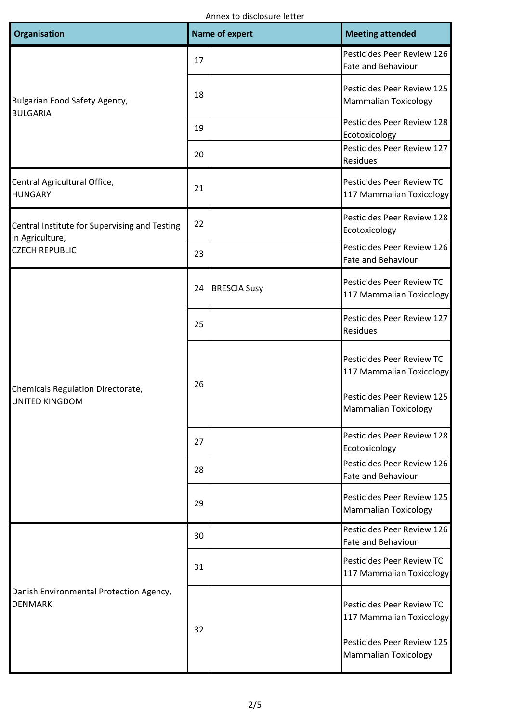| Organisation                                                                              |                                  | <b>Name of expert</b> | <b>Meeting attended</b>                                                             |
|-------------------------------------------------------------------------------------------|----------------------------------|-----------------------|-------------------------------------------------------------------------------------|
| Bulgarian Food Safety Agency,<br><b>BULGARIA</b>                                          | 17                               |                       | Pesticides Peer Review 126<br>Fate and Behaviour                                    |
|                                                                                           | 18                               |                       | Pesticides Peer Review 125<br><b>Mammalian Toxicology</b>                           |
|                                                                                           | 19                               |                       | Pesticides Peer Review 128<br>Ecotoxicology                                         |
|                                                                                           | 20                               |                       | Pesticides Peer Review 127<br>Residues                                              |
| Central Agricultural Office,<br><b>HUNGARY</b>                                            | 21                               |                       | Pesticides Peer Review TC<br>117 Mammalian Toxicology                               |
| Central Institute for Supervising and Testing<br>in Agriculture,<br><b>CZECH REPUBLIC</b> | 22                               |                       | Pesticides Peer Review 128<br>Ecotoxicology                                         |
|                                                                                           | 23                               |                       | Pesticides Peer Review 126<br><b>Fate and Behaviour</b>                             |
| Chemicals Regulation Directorate,                                                         | 24                               | <b>BRESCIA Susy</b>   | Pesticides Peer Review TC<br>117 Mammalian Toxicology                               |
|                                                                                           | 25                               |                       | Pesticides Peer Review 127<br>Residues                                              |
|                                                                                           | 26                               |                       | Pesticides Peer Review TC<br>117 Mammalian Toxicology<br>Pesticides Peer Review 125 |
| UNITED KINGDOM                                                                            | 27<br>28<br>29<br>30<br>31<br>32 |                       | <b>Mammalian Toxicology</b>                                                         |
|                                                                                           |                                  |                       | Pesticides Peer Review 128<br>Ecotoxicology                                         |
|                                                                                           |                                  |                       | Pesticides Peer Review 126<br><b>Fate and Behaviour</b>                             |
|                                                                                           |                                  |                       | Pesticides Peer Review 125<br><b>Mammalian Toxicology</b>                           |
|                                                                                           |                                  |                       | Pesticides Peer Review 126<br><b>Fate and Behaviour</b>                             |
| Danish Environmental Protection Agency,<br><b>DENMARK</b>                                 |                                  |                       | Pesticides Peer Review TC<br>117 Mammalian Toxicology                               |
|                                                                                           |                                  |                       | Pesticides Peer Review TC<br>117 Mammalian Toxicology                               |
|                                                                                           |                                  |                       | Pesticides Peer Review 125<br><b>Mammalian Toxicology</b>                           |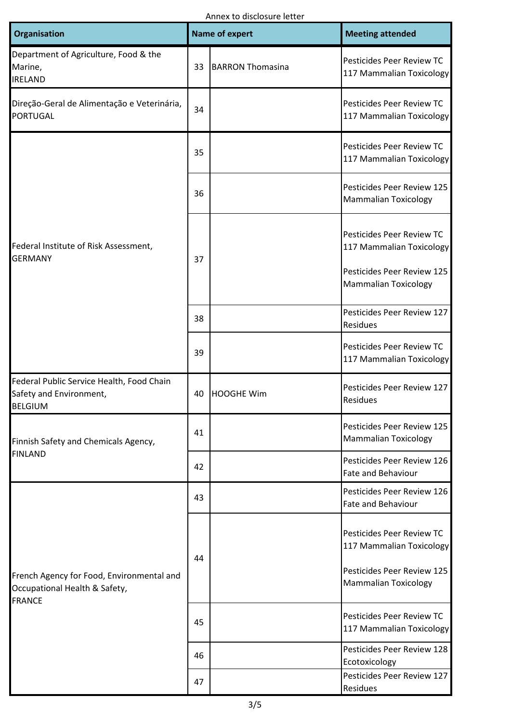Annex to disclosure letter

| <b>Organisation</b>                                                                         |    | <b>Name of expert</b>   | <b>Meeting attended</b>                                                                                            |
|---------------------------------------------------------------------------------------------|----|-------------------------|--------------------------------------------------------------------------------------------------------------------|
| Department of Agriculture, Food & the<br>Marine,<br><b>IRELAND</b>                          | 33 | <b>BARRON Thomasina</b> | Pesticides Peer Review TC<br>117 Mammalian Toxicology                                                              |
| Direção-Geral de Alimentação e Veterinária,<br><b>PORTUGAL</b>                              | 34 |                         | Pesticides Peer Review TC<br>117 Mammalian Toxicology                                                              |
| Federal Institute of Risk Assessment,<br><b>GERMANY</b>                                     | 35 |                         | Pesticides Peer Review TC<br>117 Mammalian Toxicology                                                              |
|                                                                                             | 36 |                         | Pesticides Peer Review 125<br><b>Mammalian Toxicology</b>                                                          |
|                                                                                             | 37 |                         | Pesticides Peer Review TC<br>117 Mammalian Toxicology<br>Pesticides Peer Review 125<br><b>Mammalian Toxicology</b> |
|                                                                                             | 38 |                         | Pesticides Peer Review 127<br>Residues                                                                             |
|                                                                                             | 39 |                         | Pesticides Peer Review TC<br>117 Mammalian Toxicology                                                              |
| Federal Public Service Health, Food Chain<br>Safety and Environment,<br><b>BELGIUM</b>      | 40 | <b>HOOGHE Wim</b>       | Pesticides Peer Review 127<br>Residues                                                                             |
| Finnish Safety and Chemicals Agency,                                                        | 41 |                         | Pesticides Peer Review 125<br><b>Mammalian Toxicology</b>                                                          |
| <b>FINLAND</b>                                                                              | 42 |                         | Pesticides Peer Review 126<br>Fate and Behaviour                                                                   |
|                                                                                             | 43 |                         | Pesticides Peer Review 126<br>Fate and Behaviour                                                                   |
| French Agency for Food, Environmental and<br>Occupational Health & Safety,<br><b>FRANCE</b> | 44 |                         | Pesticides Peer Review TC<br>117 Mammalian Toxicology<br>Pesticides Peer Review 125<br><b>Mammalian Toxicology</b> |
|                                                                                             | 45 |                         | Pesticides Peer Review TC<br>117 Mammalian Toxicology                                                              |
|                                                                                             | 46 |                         | Pesticides Peer Review 128<br>Ecotoxicology                                                                        |
|                                                                                             | 47 |                         | Pesticides Peer Review 127<br>Residues                                                                             |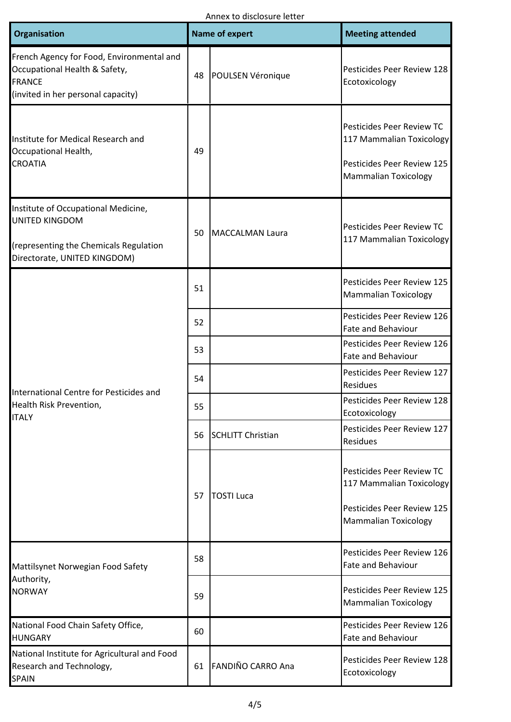| Organisation                                                                                                                           | <b>Name of expert</b> |                          | <b>Meeting attended</b>                                                                                            |
|----------------------------------------------------------------------------------------------------------------------------------------|-----------------------|--------------------------|--------------------------------------------------------------------------------------------------------------------|
| French Agency for Food, Environmental and<br>Occupational Health & Safety,<br><b>FRANCE</b><br>(invited in her personal capacity)      | 48                    | POULSEN Véronique        | Pesticides Peer Review 128<br>Ecotoxicology                                                                        |
| Institute for Medical Research and<br>Occupational Health,<br><b>CROATIA</b>                                                           | 49                    |                          | Pesticides Peer Review TC<br>117 Mammalian Toxicology<br>Pesticides Peer Review 125<br><b>Mammalian Toxicology</b> |
| Institute of Occupational Medicine,<br><b>UNITED KINGDOM</b><br>(representing the Chemicals Regulation<br>Directorate, UNITED KINGDOM) | 50                    | <b>MACCALMAN Laura</b>   | Pesticides Peer Review TC<br>117 Mammalian Toxicology                                                              |
|                                                                                                                                        | 51                    |                          | Pesticides Peer Review 125<br><b>Mammalian Toxicology</b>                                                          |
|                                                                                                                                        | 52                    |                          | Pesticides Peer Review 126<br>Fate and Behaviour                                                                   |
|                                                                                                                                        | 53                    |                          | Pesticides Peer Review 126<br><b>Fate and Behaviour</b>                                                            |
|                                                                                                                                        | 54                    |                          | Pesticides Peer Review 127<br>Residues                                                                             |
| International Centre for Pesticides and<br>Health Risk Prevention,                                                                     | 55                    |                          | Pesticides Peer Review 128<br>Ecotoxicology                                                                        |
| <b>ITALY</b>                                                                                                                           | 56<br>57              | <b>SCHLITT Christian</b> | Pesticides Peer Review 127<br>Residues                                                                             |
|                                                                                                                                        |                       | <b>TOSTI Luca</b>        | Pesticides Peer Review TC<br>117 Mammalian Toxicology<br>Pesticides Peer Review 125<br><b>Mammalian Toxicology</b> |
| Mattilsynet Norwegian Food Safety                                                                                                      | 58                    |                          | Pesticides Peer Review 126<br><b>Fate and Behaviour</b>                                                            |
| Authority,<br><b>NORWAY</b>                                                                                                            | 59                    |                          | Pesticides Peer Review 125<br><b>Mammalian Toxicology</b>                                                          |
| National Food Chain Safety Office,<br><b>HUNGARY</b>                                                                                   | 60                    |                          | Pesticides Peer Review 126<br>Fate and Behaviour                                                                   |
| National Institute for Agricultural and Food<br>Research and Technology,<br><b>SPAIN</b>                                               | 61                    | FANDIÑO CARRO Ana        | Pesticides Peer Review 128<br>Ecotoxicology                                                                        |